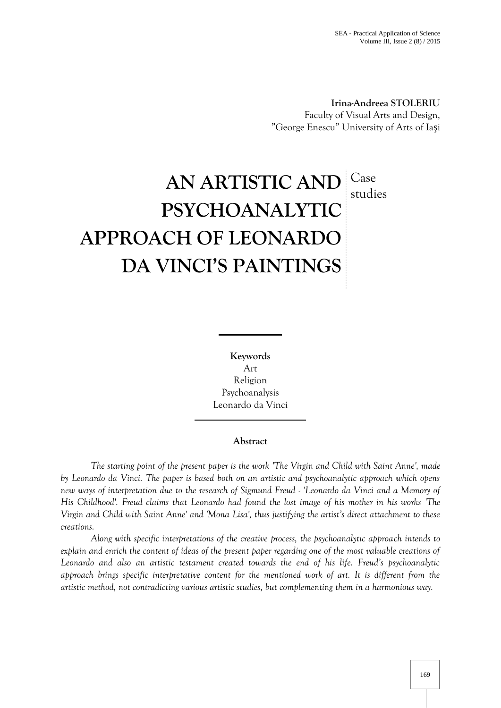**Irina-Andreea STOLERIU** Faculty of Visual Arts and Design, "George Enescu" University of Arts of Ia i

# **AN ARTISTIC AND** Case **PSYCHOANALYTIC APPROACH OF LEONARDO DA VINCI'S PAINTINGS** studies

**Keywords** Art Religion Psychoanalysis Leonardo da Vinci

## **Abstract**

*The starting point of the present paper is the work 'The Virgin and Child with Saint Anne', made by Leonardo da Vinci. The paper is based both on an artistic and psychoanalytic approach which opens new ways of interpretation due to the research of Sigmund Freud - 'Leonardo da Vinci and a Memory of His Childhood'. Freud claims that Leonardo had found the lost image of his mother in his works 'The Virgin and Child with Saint Anne' and 'Mona Lisa', thus justifying the artist's direct attachment to these creations.*

*Along with specific interpretations of the creative process, the psychoanalytic approach intends to explain and enrich the content of ideas of the present paper regarding one of the most valuable creations of Leonardo and also an artistic testament created towards the end of his life. Freud's psychoanalytic approach brings specific interpretative content for the mentioned work of art. It is different from the artistic method, not contradicting various artistic studies, but complementing them in a harmonious way.*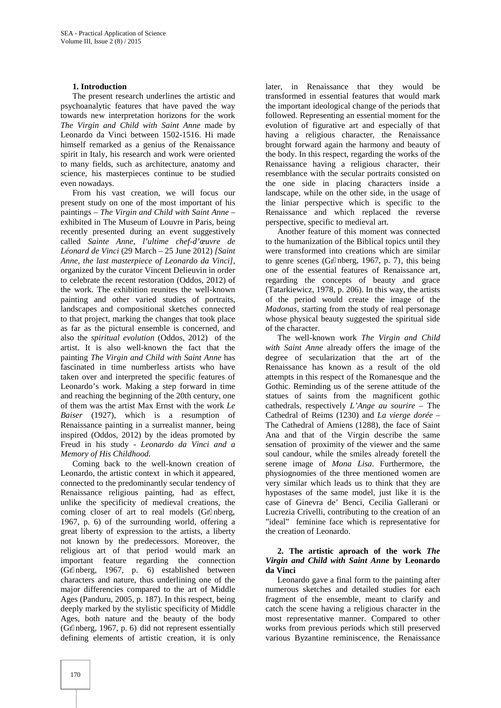## **1. Introduction**

The present research underlines the artistic and psychoanalytic features that have paved the way towards new interpretation horizons for the work *The Virgin and Child with Saint Anne* made by Leonardo da Vinci between 1502-1516. Hi made himself remarked as a genius of the Renaissance spirit in Italy, his research and work were oriented to many fields, such as architecture, anatomy and science, his masterpieces continue to be studied even nowadays.

From his vast creation, we will focus our present study on one of the most important of his paintings – *The Virgin and Child with Saint Anne –* exhibited in The Museum of Louvre in Paris, being recently presented during an event suggestively called *Sainte Anne, l'ultime chef-d'œuvre de Léonard de Vinci* (29 March – 25 June 2012) *[Saint Anne, the last masterpiece of Leonardo da Vinci]*, organized by the curator Vincent Delieuvin in order to celebrate the recent restoration (Oddos, 2012) of the work. The exhibition reunites the well-known painting and other varied studies of portraits, landscapes and compositional sketches connected to that project, marking the changes that took place as far as the pictural ensemble is concerned, and also the *spiritual evolution* (Oddos, 2012) of the artist. It is also well-known the fact that the painting *The Virgin and Child with Saint Anne* has fascinated in time numberless artists who have taken over and interpreted the specific features of Leonardo's work. Making a step forward in time and reaching the beginning of the 20th century, one of them was the artist Max Ernst with the work *Le Baiser* (1927), which is a resumption of Renaissance painting in a surrealist manner, being inspired (Oddos, 2012) by the ideas promoted by Freud in his study - *Leonardo da Vinci and a Memory of His Childhood.*

Coming back to the well-known creation of Leonardo, the artistic context in which it appeared, connected to the predominantly secular tendency of Renaissance religious painting, had as effect, unlike the specificity of medieval creations, the coming closer of art to real models (Gr nberg, 1967, p. 6) of the surrounding world, offering a great liberty of expression to the artists, a liberty not known by the predecessors. Moreover, the religious art of that period would mark an important feature regarding the connection (Gr nberg, 1967, p. 6) established between characters and nature, thus underlining one of the major differencies compared to the art of Middle Ages (Panduru, 2005, p. 187). In this respect, being deeply marked by the stylistic specificity of Middle Ages, both nature and the beauty of the body (Gr nberg, 1967, p. 6) did not represent essentially defining elements of artistic creation, it is only

later, in Renaissance that they would be transformed in essential features that would mark the important ideological change of the periods that followed. Representing an essential moment for the evolution of figurative art and especially of that having a religious character, the Renaissance brought forward again the harmony and beauty of the body. In this respect, regarding the works of the Renaissance having a religious character, their resemblance with the secular portraits consisted on the one side in placing characters inside a landscape, while on the other side, in the usage of the liniar perspective which is specific to the Renaissance and which replaced the reverse perspective, specific to medieval art.

Another feature of this moment was connected to the humanization of the Biblical topics until they were transformed into creations which are similar to genre scenes (Gr nberg, 1967, p. 7), this being one of the essential features of Renaissance art, regarding the concepts of beauty and grace (Tatarkiewicz, 1978, p. 206). In this way, the artists of the period would create the image of the *Madonas*, starting from the study of real personage whose physical beauty suggested the spiritual side of the character.

The well-known work *The Virgin and Child with Saint Anne* already offers the image of the degree of secularization that the art of the Renaissance has known as a result of the old attempts in this respect of the Romanesque and the Gothic. Reminding us of the serene attitude of the statues of saints from the magnificent gothic cathedrals, respectively *L'Ange au sourire* – The Cathedral of Reims (1230) and *La vierge dorée –* The Cathedral of Amiens (1288), the face of Saint Ana and that of the Virgin describe the same sensation of proximity of the viewer and the same soul candour, while the smiles already foretell the serene image of *Mona Lisa*. Furthermore, the physiognomies of the three mentioned women are very similar which leads us to think that they are hypostases of the same model, just like it is the case of Ginevra de' Benci, Cecilia Gallerani or Lucrezia Crivelli, contributing to the creation of an "ideal" feminine face which is representative for the creation of Leonardo.

## **2. The artistic aproach of the work** *The Virgin and Child with Saint Anne* **by Leonardo da Vinci**

Leonardo gave a final form to the painting after numerous sketches and detailed studies for each fragment of the ensemble, meant to clarify and catch the scene having a religious character in the most representative manner. Compared to other works from previous periods which still preserved various Byzantine reminiscence, the Renaissance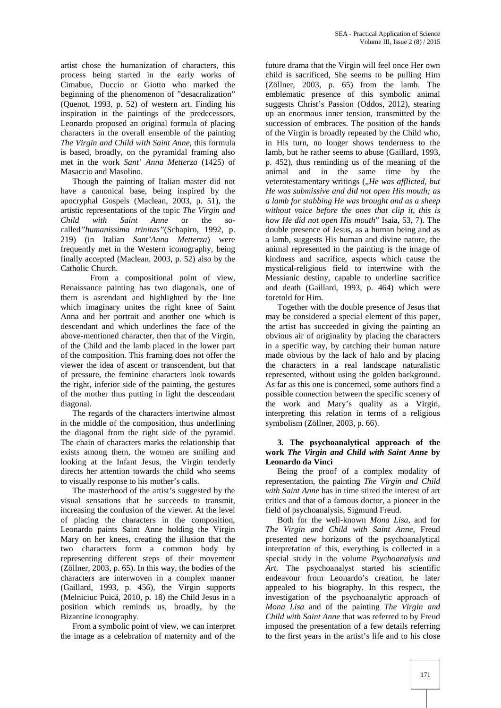artist chose the humanization of characters, this process being started in the early works of Cimabue, Duccio or Giotto who marked the beginning of the phenomenon of "desacralization" (Quenot, 1993, p. 52) of western art. Finding his inspiration in the paintings of the predecessors, Leonardo proposed an original formula of placing characters in the overall ensemble of the painting *The Virgin and Child with Saint Anne,* this formula is based, broadly, on the pyramidal framing also met in the work *Sant' Anna Metterza* (1425) of Masaccio and Masolino.

Though the painting of Italian master did not have a canonical base, being inspired by the apocryphal Gospels (Maclean, 2003, p. 51), the artistic representations of the topic *The Virgin and Child with Saint Anne* or the so called*"humanissima trinitas"*(Schapiro, 1992, p. 219) (in Italian *Sant'Anna Metterza*) were frequently met in the Western iconography, being finally accepted (Maclean, 2003, p. 52) also by the Catholic Church.

From a compositional point of view, Renaissance painting has two diagonals, one of them is ascendant and highlighted by the line which imaginary unites the right knee of Saint Anna and her portrait and another one which is descendant and which underlines the face of the above-mentioned character, then that of the Virgin, of the Child and the lamb placed in the lower part of the composition. This framing does not offer the viewer the idea of ascent or transcendent, but that of pressure, the feminine characters look towards the right, inferior side of the painting, the gestures of the mother thus putting in light the descendant diagonal.

The regards of the characters intertwine almost in the middle of the composition, thus underlining the diagonal from the right side of the pyramid. The chain of characters marks the relationship that exists among them, the women are smiling and looking at the Infant Jesus, the Virgin tenderly directs her attention towards the child who seems to visually response to his mother's calls.

The masterhood of the artist's suggested by the visual sensations that he succeeds to transmit, increasing the confusion of the viewer. At the level of placing the characters in the composition, Leonardo paints Saint Anne holding the Virgin Mary on her knees, creating the illusion that the two characters form a common body by representing different steps of their movement (Zöllner, 2003, p. 65). In this way, the bodies of the characters are interwoven in a complex manner (Gaillard, 1993, p. 456), the Virgin supports (Melniciuc Puic, 2010, p. 18) the Child Jesus in a position which reminds us, broadly, by the Bizantine iconography.

From a symbolic point of view, we can interpret the image as a celebration of maternity and of the

future drama that the Virgin will feel once Her own child is sacrificed, She seems to be pulling Him (Zöllner, 2003, p. 65) from the lamb. The emblematic presence of this symbolic animal suggests Christ's Passion (Oddos, 2012), stearing up an enormous inner tension, transmitted by the succession of embraces. The position of the hands of the Virgin is broadly repeated by the Child who, in His turn, no longer shows tenderness to the lamb, but he rather seems to abuse (Gaillard, 1993, p. 452), thus reminding us of the meaning of the animal and in the same time by the veterotestamentary writings ("He was afflicted, but *He was submissive and did not open His mouth; as a lamb for stabbing He was brought and as a sheep without voice before the ones that clip it, this is how He did not open His mouth*" Isaia, 53, 7). The double presence of Jesus, as a human being and as a lamb, suggests His human and divine nature, the animal represented in the painting is the image of kindness and sacrifice, aspects which cause the mystical-religious field to intertwine with the Messianic destiny, capable to underline sacrifice and death (Gaillard, 1993, p. 464) which were foretold for Him.

Together with the double presence of Jesus that may be considered a special element of this paper, the artist has succeeded in giving the painting an obvious air of originality by placing the characters in a specific way, by catching their human nature made obvious by the lack of halo and by placing the characters in a real landscape naturalistic represented, without using the golden background. As far as this one is concerned, some authors find a possible connection between the specific scenery of the work and Mary's quality as a Virgin, interpreting this relation in terms of a religious symbolism (Zöllner, 2003, p. 66).

#### **3. The psychoanalytical approach of the work** *The Virgin and Child with Saint Anne* **by Leonardo da Vinci**

Being the proof of a complex modality of representation, the painting *The Virgin and Child with Saint Anne* has in time stired the interest of art critics and that of a famous doctor, a pioneer in the field of psychoanalysis, Sigmund Freud.

Both for the well-known *Mona Lisa*, and for *The Virgin and Child with Saint Anne,* Freud presented new horizons of the psychoanalytical interpretation of this, everything is collected in a special study in the volume *Psychoanalysis and Art*. The psychoanalyst started his scientific endeavour from Leonardo's creation, he later appealed to his biography. In this respect, the investigation of the psychoanalytic approach of *Mona Lisa* and of the painting *The Virgin and Child with Saint Anne* that was referred to by Freud imposed the presentation of a few details referring to the first years in the artist's life and to his close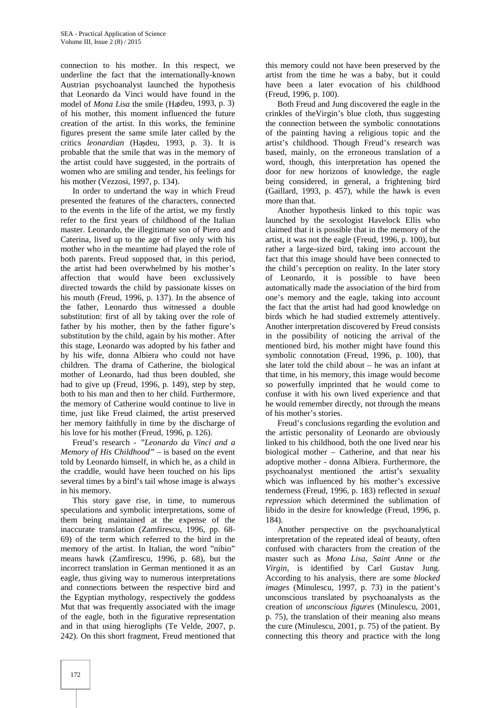connection to his mother. In this respect, we underline the fact that the internationally-known Austrian psychoanalyst launched the hypothesis that Leonardo da Vinci would have found in the model of *Mona Lisa* the smile (Ha deu, 1993, p. 3) of his mother, this moment influenced the future creation of the artist. In this works, the feminine figures present the same smile later called by the critics *leonardian* (Ha deu, 1993, p. 3). It is probable that the smile that was in the memory of the artist could have suggested, in the portraits of women who are smiling and tender, his feelings for his mother (Vezzosi, 1997, p. 134).

In order to undertand the way in which Freud presented the features of the characters, connected to the events in the life of the artist, we my firstly refer to the first years of childhood of the Italian master. Leonardo, the illegitimate son of Piero and Caterina, lived up to the age of five only with his mother who in the meantime had played the role of both parents. Freud supposed that, in this period, the artist had been overwhelmed by his mother's affection that would have been exclussively directed towards the child by passionate kisses on his mouth (Freud, 1996, p. 137). In the absence of the father, Leonardo thus witnessed a double substitution: first of all by taking over the role of father by his mother, then by the father figure's substitution by the child, again by his mother. After this stage, Leonardo was adopted by his father and by his wife, donna Albiera who could not have children. The drama of Catherine, the biological mother of Leonardo, had thus been doubled, she had to give up (Freud, 1996, p. 149), step by step, both to his man and then to her child*.* Furthermore, the memory of Catherine would continue to live in time, just like Freud claimed, the artist preserved her memory faithfully in time by the discharge of his love for his mother (Freud, 1996, p. 126).

Freud's research - *"Leonardo da Vinci and a Memory of His Childhood" –* is based on the event told by Leonardo himself, in which he, as a child in the craddle, would have been touched on his lips several times by a bird's tail whose image is always in his memory.

This story gave rise, in time, to numerous speculations and symbolic interpretations, some of them being maintained at the expense of the inaccurate translation (Zamfirescu, 1996, pp. 68- 69) of the term which referred to the bird in the memory of the artist. In Italian, the word "nibio" means hawk (Zamfirescu, 1996, p. 68), but the incorrect translation in German mentioned it as an eagle, thus giving way to numerous interpretations and connections between the respective bird and the Egyptian mythology, respectively the goddess Mut that was frequently associated with the image of the eagle, both in the figurative representation and in that using hierogliphs (Te Velde, 2007, p. 242). On this short fragment, Freud mentioned that

this memory could not have been preserved by the artist from the time he was a baby, but it could have been a later evocation of his childhood (Freud, 1996, p. 100).

Both Freud and Jung discovered the eagle in the crinkles of theVirgin's blue cloth, thus suggesting the connection between the symbolic connotations of the painting having a religious topic and the artist's childhood. Though Freud's research was based, mainly, on the erroneous translation of a word, though, this interpretation has opened the door for new horizons of knowledge, the eagle being considered, in general, a frightening bird (Gaillard, 1993, p. 457), while the hawk is even more than that.

Another hypothesis linked to this topic was launched by the sexologist Havelock Ellis who claimed that it is possible that in the memory of the artist, it was not the eagle (Freud, 1996, p. 100), but rather a large-sized bird, taking into account the fact that this image should have been connected to the child's perception on reality. In the later story of Leonardo, it is possible to have been automatically made the association of the bird from one's memory and the eagle, taking into account the fact that the artist had had good knowledge on birds which he had studied extremely attentively. Another interpretation discovered by Freud consists in the possibility of noticing the arrival of the mentioned bird, his mother might have found this symbolic connotation (Freud, 1996, p. 100), that she later told the child about – he was an infant at that time, in his memory, this image would become so powerfully imprinted that he would come to confuse it with his own lived experience and that he would remember directly, not through the means of his mother's stories.

Freud's conclusions regarding the evolution and the artistic personality of Leonardo are obviously linked to his childhood, both the one lived near his biological mother – Catherine, and that near his adoptive mother - donna Albiera. Furthermore, the psychoanalyst mentioned the artist's sexuality which was influenced by his mother's excessive tenderness (Freud, 1996, p. 183) reflected in *sexual repression* which determined the sublimation of libido in the desire for knowledge (Freud, 1996, p. 184)*.*

Another perspective on the psychoanalytical interpretation of the repeated ideal of beauty, often confused with characters from the creation of the master such as *Mona Lisa, Saint Anne* or *the Virgin,* is identified by Carl Gustav Jung. According to his analysis, there are some *blocked images* (Minulescu, 1997, p. 73) in the patient's unconscious translated by psychoanalysts as the creation of *unconscious figures* (Minulescu, 2001, p. 75)*,* the translation of their meaning also means the cure (Minulescu, 2001, p. 75) of the patient. By connecting this theory and practice with the long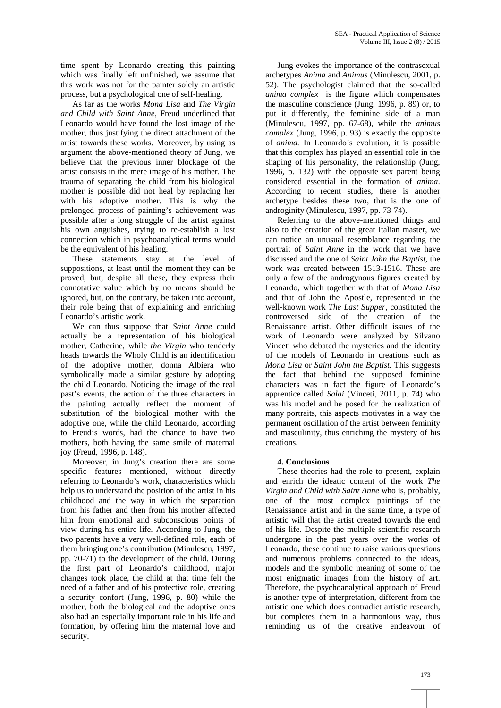time spent by Leonardo creating this painting which was finally left unfinished, we assume that this work was not for the painter solely an artistic process, but a psychological one of self-healing.

As far as the works *Mona Lisa* and *The Virgin and Child with Saint Anne,* Freud underlined that Leonardo would have found the lost image of the mother, thus justifying the direct attachment of the artist towards these works. Moreover, by using as argument the above-mentioned theory of Jung, we believe that the previous inner blockage of the artist consists in the mere image of his mother. The trauma of separating the child from his biological mother is possible did not heal by replacing her with his adoptive mother. This is why the prelonged process of painting's achievement was possible after a long struggle of the artist against his own anguishes, trying to re-establish a lost connection which in psychoanalytical terms would be the equivalent of his healing.

These statements stay at the level of suppositions, at least until the moment they can be proved, but, despite all these, they express their connotative value which by no means should be ignored, but, on the contrary, be taken into account, their role being that of explaining and enriching Leonardo's artistic work.

We can thus suppose that *Saint Anne* could actually be a representation of his biological mother, Catherine, while *the Virgin* who tenderly heads towards the Wholy Child is an identification of the adoptive mother, donna Albiera who symbolically made a similar gesture by adopting the child Leonardo. Noticing the image of the real past's events, the action of the three characters in the painting actually reflect the moment of substitution of the biological mother with the adoptive one, while the child Leonardo, according to Freud's words, had the chance to have two mothers, both having the same smile of maternal joy (Freud, 1996, p. 148).

Moreover, in Jung's creation there are some specific features mentioned, without directly referring to Leonardo's work, characteristics which help us to understand the position of the artist in his childhood and the way in which the separation from his father and then from his mother affected him from emotional and subconscious points of view during his entire life. According to Jung*,* the two parents have a very well-defined role, each of them bringing one's contribution (Minulescu, 1997, pp. 70-71) to the development of the child. During the first part of Leonardo's childhood, major changes took place, the child at that time felt the need of a father and of his protective role, creating a security confort (Jung, 1996, p. 80) while the mother, both the biological and the adoptive ones also had an especially important role in his life and formation, by offering him the maternal love and security.

Jung evokes the importance of the contrasexual archetypes *Anima* and *Animus* (Minulescu, 2001, p. 52). The psychologist claimed that the so-called *anima complex* is the figure which compensates the masculine conscience (Jung, 1996, p. 89) or, to put it differently, the feminine side of a man (Minulescu, 1997, pp. 67-68), while the *animus complex* (Jung, 1996, p. 93) is exactly the opposite of *anima.* In Leonardo's evolution, it is possible that this complex has played an essential role in the shaping of his personality, the relationship (Jung, 1996, p. 132) with the opposite sex parent being considered essential in the formation of *anima*. According to recent studies, there is another archetype besides these two, that is the one of androginity (Minulescu, 1997, pp. 73-74).

Referring to the above-mentioned things and also to the creation of the great Italian master, we can notice an unusual resemblance regarding the portrait of *Saint Anne* in the work that we have discussed and the one of *Saint John the Baptist,* the work was created between 1513-1516. These are only a few of the androgynous figures created by Leonardo, which together with that of *Mona Lisa* and that of John the Apostle, represented in the well-known work *The Last Supper,* constituted the controversed side of the creation of the Renaissance artist. Other difficult issues of the work of Leonardo were analyzed by Silvano Vinceti who debated the mysteries and the identity of the models of Leonardo in creations such as *Mona Lisa* or *Saint John the Baptist.* This suggests the fact that behind the supposed feminine characters was in fact the figure of Leonardo's apprentice called *Salai* (Vinceti, 2011, p. 74) who was his model and he posed for the realization of many portraits, this aspects motivates in a way the permanent oscillation of the artist between feminity and masculinity, thus enriching the mystery of his creations.

## **4. Conclusions**

These theories had the role to present, explain and enrich the ideatic content of the work *The Virgin and Child with Saint Anne* who is, probably, one of the most complex paintings of the Renaissance artist and in the same time, a type of artistic will that the artist created towards the end of his life. Despite the multiple scientific research undergone in the past years over the works of Leonardo, these continue to raise various questions and numerous problems connected to the ideas, models and the symbolic meaning of some of the most enigmatic images from the history of art. Therefore, the psychoanalytical approach of Freud is another type of interpretation, different from the artistic one which does contradict artistic research, but completes them in a harmonious way, thus reminding us of the creative endeavour of